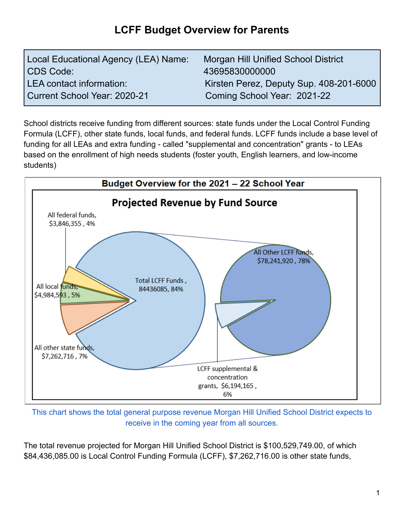## **LCFF Budget Overview for Parents**

| Local Educational Agency (LEA) Name: | <b>Morgan Hill Unified School District</b> |
|--------------------------------------|--------------------------------------------|
| CDS Code:                            | 43695830000000                             |
| LEA contact information:             | Kirsten Perez, Deputy Sup. 408-201-6000    |
| Current School Year: 2020-21         | Coming School Year: 2021-22                |

School districts receive funding from different sources: state funds under the Local Control Funding Formula (LCFF), other state funds, local funds, and federal funds. LCFF funds include a base level of funding for all LEAs and extra funding - called "supplemental and concentration" grants - to LEAs based on the enrollment of high needs students (foster youth, English learners, and low-income students)



This chart shows the total general purpose revenue Morgan Hill Unified School District expects to receive in the coming year from all sources.

The total revenue projected for Morgan Hill Unified School District is \$100,529,749.00, of which \$84,436,085.00 is Local Control Funding Formula (LCFF), \$7,262,716.00 is other state funds,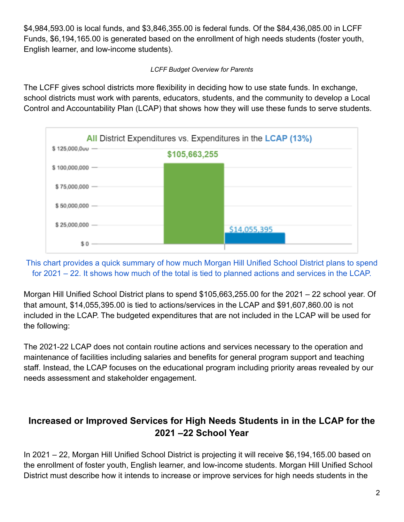\$4,984,593.00 is local funds, and \$3,846,355.00 is federal funds. Of the \$84,436,085.00 in LCFF Funds, \$6,194,165.00 is generated based on the enrollment of high needs students (foster youth, English learner, and low-income students).

## *LCFF Budget Overview for Parents*

The LCFF gives school districts more flexibility in deciding how to use state funds. In exchange, school districts must work with parents, educators, students, and the community to develop a Local Control and Accountability Plan (LCAP) that shows how they will use these funds to serve students.



This chart provides a quick summary of how much Morgan Hill Unified School District plans to spend for 2021 – 22. It shows how much of the total is tied to planned actions and services in the LCAP.

Morgan Hill Unified School District plans to spend \$105,663,255.00 for the 2021 – 22 school year. Of that amount, \$14,055,395.00 is tied to actions/services in the LCAP and \$91,607,860.00 is not included in the LCAP. The budgeted expenditures that are not included in the LCAP will be used for the following:

The 2021-22 LCAP does not contain routine actions and services necessary to the operation and maintenance of facilities including salaries and benefits for general program support and teaching staff. Instead, the LCAP focuses on the educational program including priority areas revealed by our needs assessment and stakeholder engagement.

## **Increased or Improved Services for High Needs Students in in the LCAP for the 2021 –22 School Year**

In 2021 – 22, Morgan Hill Unified School District is projecting it will receive \$6,194,165.00 based on the enrollment of foster youth, English learner, and low-income students. Morgan Hill Unified School District must describe how it intends to increase or improve services for high needs students in the